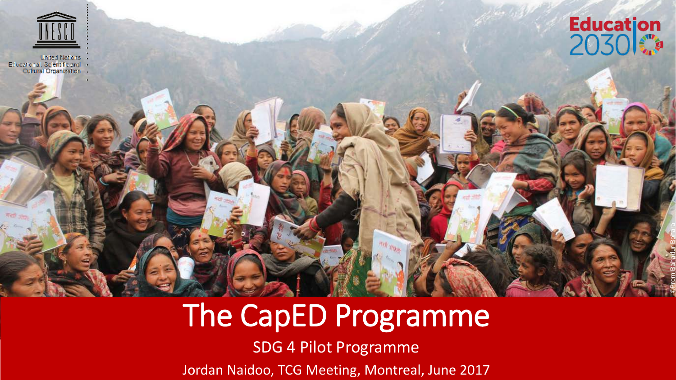





©Prem Bahadur Bohara

### The CapED Programme

SDG 4 Pilot Programme

Jordan Naidoo, TCG Meeting, Montreal, June 2017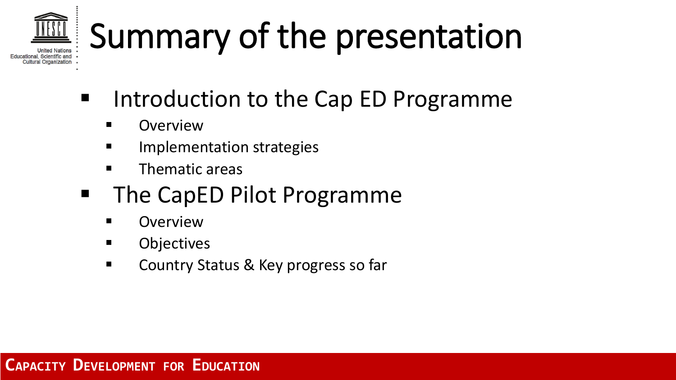# Summary of the presentation

- **If the Cap ED Programme** 
	- **E** Overview

Educational, Scientific and Cultural Organization

- Implementation strategies
- $\blacksquare$  Thematic areas
- **The CapED Pilot Programme** 
	- **Overview**
	- **Objectives**
	- Country Status & Key progress so far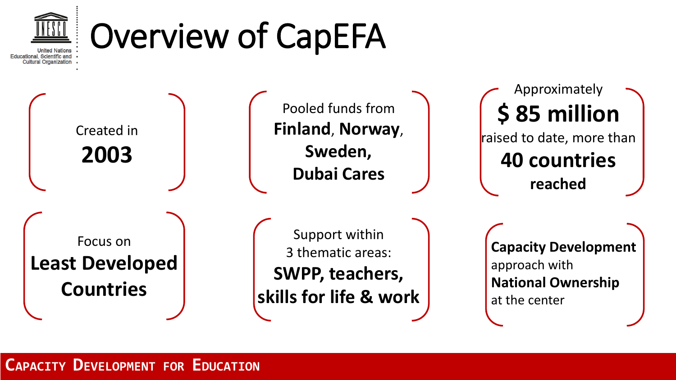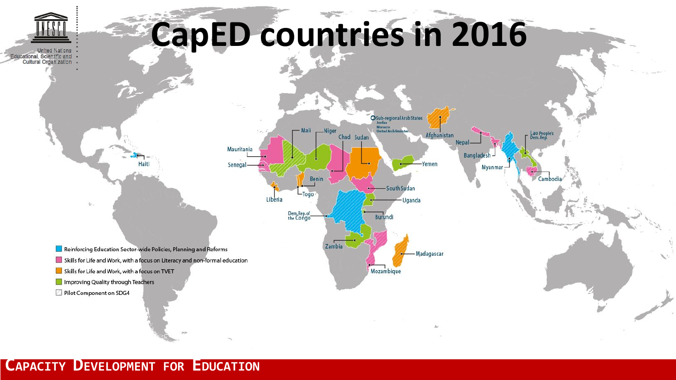

# **CapED countries in 2016**



#### **CAPACITY DEVELOPMENT FOR EDUCATION**

Pilot Component on SDG4

 $\mathcal{L}$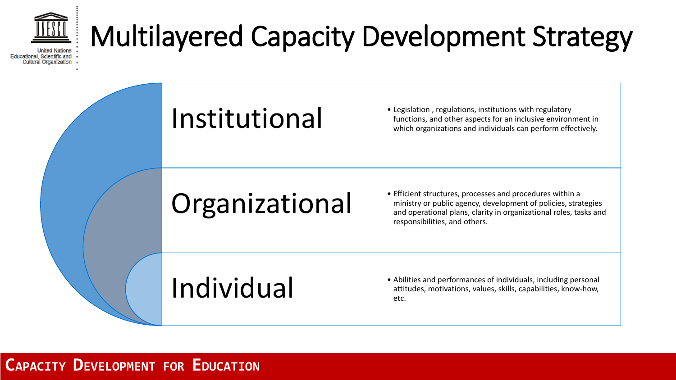

### Multilayered Capacity Development Strategy

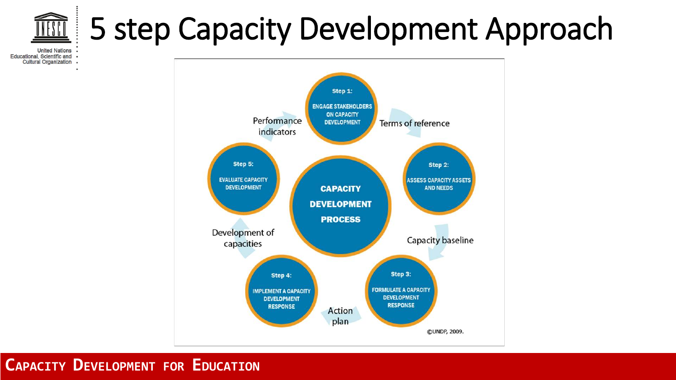## 5 step Capacity Development Approach

**United Nations** Educational, Scientific and Cultural Organization .

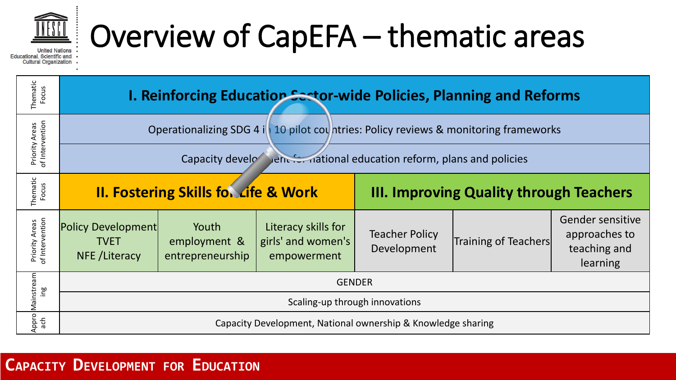

## Overview of CapEFA – thematic areas

**United Nations** Educational, Scientific and **Cultural Organization** 

| Thematic<br>Focus                 | <b>I. Reinforcing Education Sestor-wide Policies, Planning and Reforms</b>           |                                           |                                                          |                                                |                      |                                                               |  |  |  |
|-----------------------------------|--------------------------------------------------------------------------------------|-------------------------------------------|----------------------------------------------------------|------------------------------------------------|----------------------|---------------------------------------------------------------|--|--|--|
| Priority Areas<br>of Intervention | Operationalizing SDG 4 is 10 pilot countries: Policy reviews & monitoring frameworks |                                           |                                                          |                                                |                      |                                                               |  |  |  |
|                                   | Capacity development for national education reform, plans and policies               |                                           |                                                          |                                                |                      |                                                               |  |  |  |
| Thematic<br>Focus                 | <b>II. Fostering Skills for Life &amp; Work</b>                                      |                                           |                                                          | <b>III. Improving Quality through Teachers</b> |                      |                                                               |  |  |  |
| Priority Areas<br>of Intervention | <b>Policy Development</b><br><b>TVET</b><br>NFE/Literacy                             | Youth<br>employment &<br>entrepreneurship | Literacy skills for<br>girls' and women's<br>empowerment | <b>Teacher Policy</b><br>Development           | Training of Teachers | Gender sensitive<br>approaches to<br>teaching and<br>learning |  |  |  |
| Mainstream<br>aui                 | <b>GENDER</b>                                                                        |                                           |                                                          |                                                |                      |                                                               |  |  |  |
|                                   | Scaling-up through innovations                                                       |                                           |                                                          |                                                |                      |                                                               |  |  |  |
| Appro<br>ach                      | Capacity Development, National ownership & Knowledge sharing                         |                                           |                                                          |                                                |                      |                                                               |  |  |  |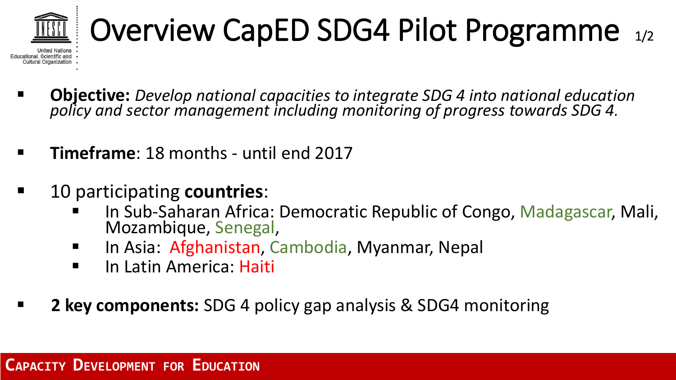

# Overview CapED SDG4 Pilot Programme 1/2

- **Objective:** *Develop national capacities to integrate SDG 4 into national education policy and sector management including monitoring of progress towards SDG 4.*
- **Timeframe**: 18 months until end 2017
- 10 participating **countries**:
	- In Sub-Saharan Africa: Democratic Republic of Congo, Madagascar, Mali, Mozambique, Senegal,
	- In Asia: Afghanistan, Cambodia, Myanmar, Nepal
	- **In Latin America: Haiti**
- **2 key components:** SDG 4 policy gap analysis & SDG4 monitoring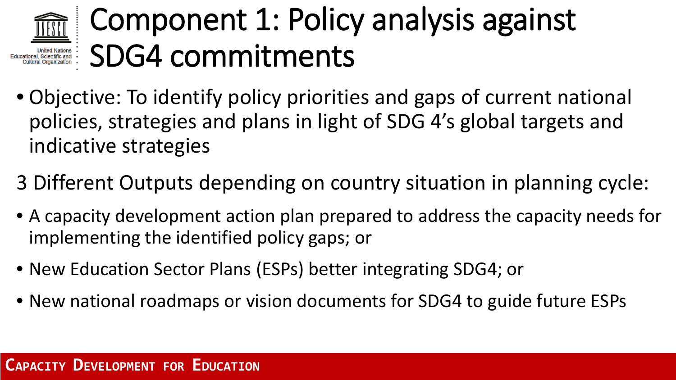### Component 1: Policy analysis against Educational, Scientific and<br>Cultural Organization : SDG4 commitments

- Objective: To identify policy priorities and gaps of current national policies, strategies and plans in light of SDG 4's global targets and indicative strategies
- 3 Different Outputs depending on country situation in planning cycle:
- A capacity development action plan prepared to address the capacity needs for implementing the identified policy gaps; or
- New Education Sector Plans (ESPs) better integrating SDG4; or
- New national roadmaps or vision documents for SDG4 to guide future ESPs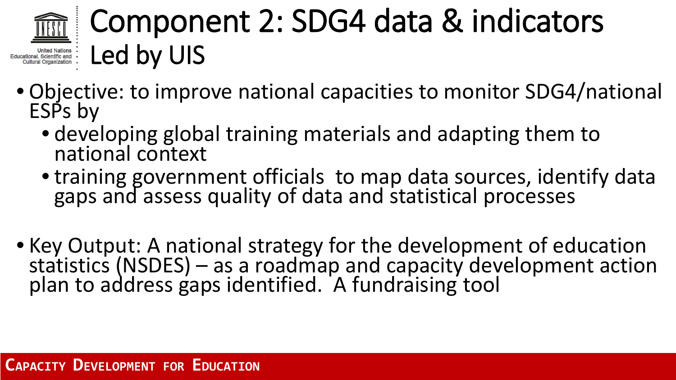

### Component 2: SDG4 data & indicators Educational, Scientific and : **Led by UIS**

- Objective: to improve national capacities to monitor SDG4/national ESPs by
	- developing global training materials and adapting them to national context
	- training government officials to map data sources, identify data gaps and assess quality of data and statistical processes
- Key Output: A national strategy for the development of education statistics (NSDES) as a roadmap and capacity development action plan to address gaps identified. A fundraising tool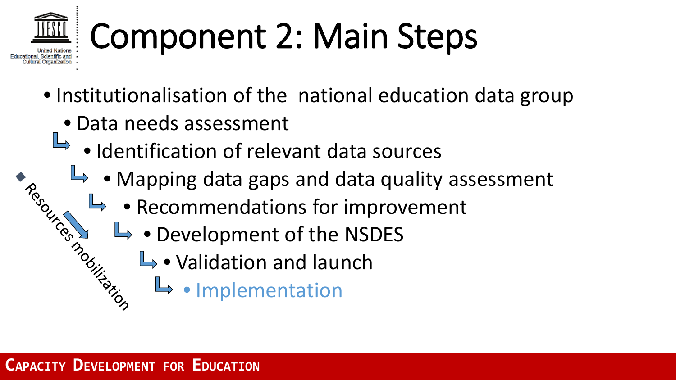# Component 2: Main Steps

- Institutionalisation of the national education data group
	- Data needs assessment
		- Identification of relevant data sources
- $\rightarrow$  Mapping data gaps and data quality assessment Account of
	- $\blacktriangleright$  Recommendations for improvement
	- $\rightarrow$  Development of the NSDES mobilization
		- $\mathbb{L}$  Validation and launch
			- Implementation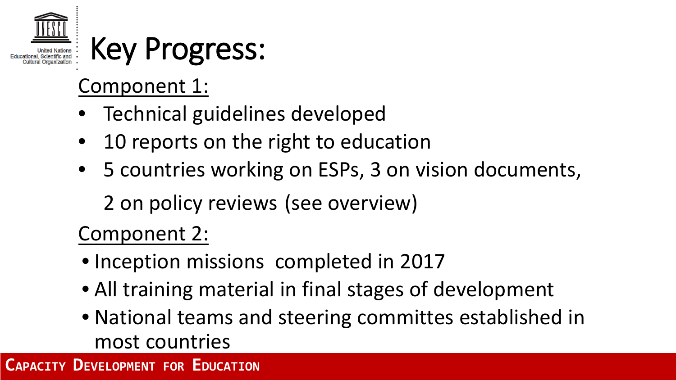

### Key Progress:

### Component 1:

- Technical guidelines developed
- 10 reports on the right to education
- 5 countries working on ESPs, 3 on vision documents,

2 on policy reviews (see overview)

### Component 2:

- Inception missions completed in 2017
- All training material in final stages of development
- National teams and steering committes established in most countries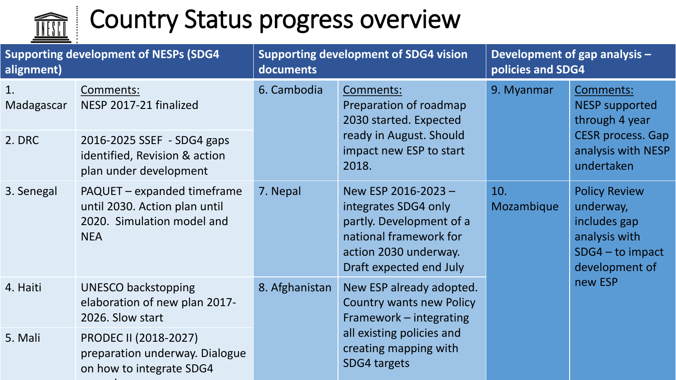

diam.

### Country Status progress overview

| alignment)       | <b>Supporting development of NESPs (SDG4</b>                                                             | <b>Supporting development of SDG4 vision</b><br>documents |                                                                                                                                                              | Development of gap analysis -<br>policies and SDG4 |                                                                                                                      |
|------------------|----------------------------------------------------------------------------------------------------------|-----------------------------------------------------------|--------------------------------------------------------------------------------------------------------------------------------------------------------------|----------------------------------------------------|----------------------------------------------------------------------------------------------------------------------|
| 1.<br>Madagascar | Comments:<br>NESP 2017-21 finalized                                                                      | 6. Cambodia                                               | Comments:<br>Preparation of roadmap<br>2030 started. Expected<br>ready in August. Should<br>impact new ESP to start<br>2018.                                 | 9. Myanmar                                         | Comments:<br><b>NESP supported</b><br>through 4 year<br><b>CESR</b> process. Gap<br>analysis with NESP<br>undertaken |
| 2. DRC           | 2016-2025 SSEF - SDG4 gaps<br>identified, Revision & action<br>plan under development                    |                                                           |                                                                                                                                                              |                                                    |                                                                                                                      |
| 3. Senegal       | PAQUET - expanded timeframe<br>until 2030. Action plan until<br>2020. Simulation model and<br><b>NEA</b> | 7. Nepal                                                  | New ESP 2016-2023-<br>integrates SDG4 only<br>partly. Development of a<br>national framework for<br>action 2030 underway.<br>Draft expected end July         | 10.<br>Mozambique                                  | <b>Policy Review</b><br>underway,<br>includes gap<br>analysis with<br>$SDG4 - to impact$<br>development of           |
| 4. Haiti         | <b>UNESCO backstopping</b><br>elaboration of new plan 2017-<br>2026. Slow start                          | 8. Afghanistan                                            | New ESP already adopted.<br><b>Country wants new Policy</b><br>Framework - integrating<br>all existing policies and<br>creating mapping with<br>SDG4 targets |                                                    | new ESP                                                                                                              |
| 5. Mali          | <b>PRODEC II (2018-2027)</b><br>preparation underway. Dialogue<br>on how to integrate SDG4               |                                                           |                                                                                                                                                              |                                                    |                                                                                                                      |